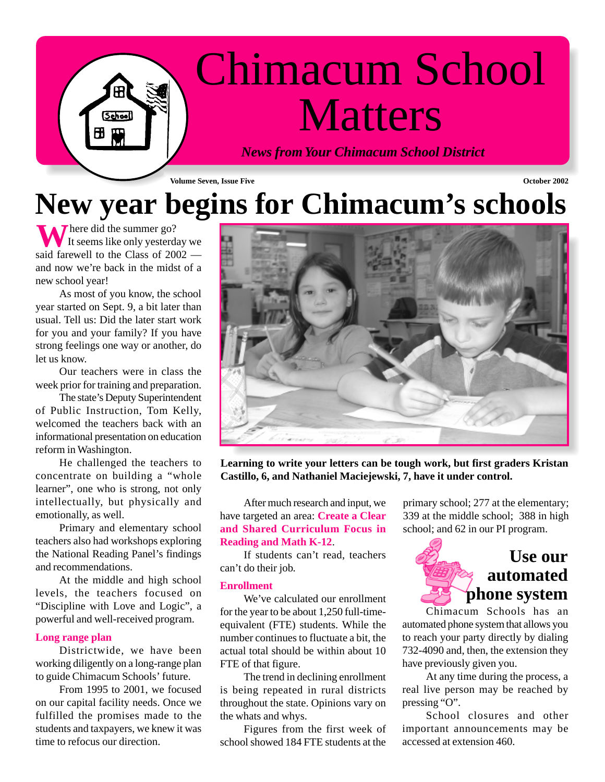# Chimacum School **Matters**

*News from Your Chimacum School District*

**Volume Seven, Issue Five October 2002**

## **New year begins for Chimacum's schools**

**T** here did the summer go? It seems like only yesterday we **W** here did the summer go?<br>It seems like only yesterday we said farewell to the Class of 2002 and now we're back in the midst of a new school year!

School

As most of you know, the school year started on Sept. 9, a bit later than usual. Tell us: Did the later start work for you and your family? If you have strong feelings one way or another, do let us know.

Our teachers were in class the week prior for training and preparation.

The state's Deputy Superintendent of Public Instruction, Tom Kelly, welcomed the teachers back with an informational presentation on education reform in Washington.

He challenged the teachers to concentrate on building a "whole learner", one who is strong, not only intellectually, but physically and emotionally, as well.

Primary and elementary school teachers also had workshops exploring the National Reading Panel's findings and recommendations.

At the middle and high school levels, the teachers focused on "Discipline with Love and Logic", a powerful and well-received program.

#### **Long range plan**

Districtwide, we have been working diligently on a long-range plan to guide Chimacum Schools' future.

From 1995 to 2001, we focused on our capital facility needs. Once we fulfilled the promises made to the students and taxpayers, we knew it was time to refocus our direction.



**Learning to write your letters can be tough work, but first graders Kristan Castillo, 6, and Nathaniel Maciejewski, 7, have it under control.**

After much research and input, we have targeted an area: **Create a Clear and Shared Curriculum Focus in Reading and Math K-12**.

If students can't read, teachers can't do their job.

#### **Enrollment**

We've calculated our enrollment for the year to be about 1,250 full-timeequivalent (FTE) students. While the number continues to fluctuate a bit, the actual total should be within about 10 FTE of that figure.

The trend in declining enrollment is being repeated in rural districts throughout the state. Opinions vary on the whats and whys.

Figures from the first week of school showed 184 FTE students at the

primary school; 277 at the elementary; 339 at the middle school; 388 in high school; and 62 in our PI program.



Chimacum Schools has an automated phone system that allows you to reach your party directly by dialing 732-4090 and, then, the extension they have previously given you.

At any time during the process, a real live person may be reached by pressing "O".

School closures and other important announcements may be accessed at extension 460.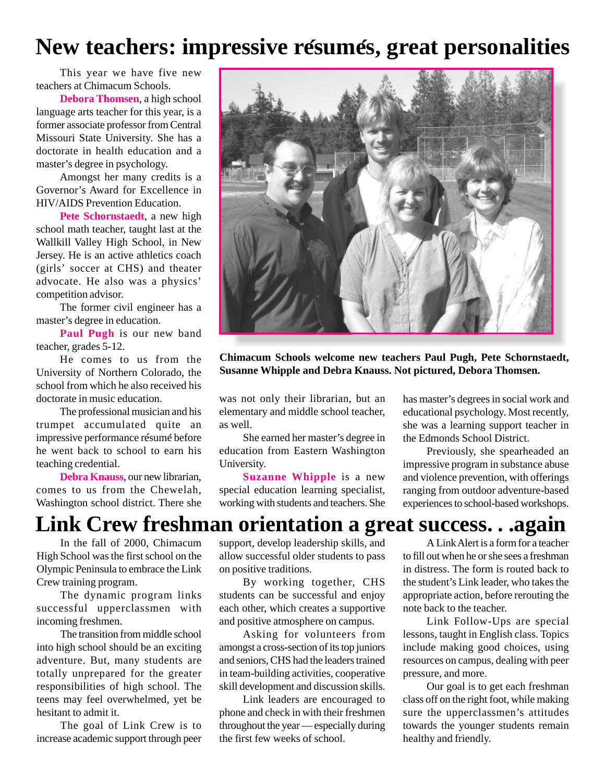### **New teachers: impressive resumes, great personalities ´ ´**

This year we have five new teachers at Chimacum Schools.

**Debora Thomsen**, a high school language arts teacher for this year, is a former associate professor from Central Missouri State University. She has a doctorate in health education and a master's degree in psychology.

Amongst her many credits is a Governor's Award for Excellence in HIV/AIDS Prevention Education.

**Pete Schornstaedt**, a new high school math teacher, taught last at the Wallkill Valley High School, in New Jersey. He is an active athletics coach (girls' soccer at CHS) and theater advocate. He also was a physics' competition advisor.

The former civil engineer has a master's degree in education.

**Paul Pugh** is our new band teacher, grades 5-12.

He comes to us from the University of Northern Colorado, the school from which he also received his doctorate in music education.

The professional musician and his trumpet accumulated quite an impressive performance resume before **´ ´** he went back to school to earn his teaching credential.

**Debra Knauss**, our new librarian, comes to us from the Chewelah, Washington school district. There she



**Chimacum Schools welcome new teachers Paul Pugh, Pete Schornstaedt, Susanne Whipple and Debra Knauss. Not pictured, Debora Thomsen.**

was not only their librarian, but an elementary and middle school teacher, as well.

She earned her master's degree in education from Eastern Washington University.

**Suzanne Whipple** is a new special education learning specialist, working with students and teachers. She has master's degrees in social work and educational psychology. Most recently, she was a learning support teacher in the Edmonds School District.

Previously, she spearheaded an impressive program in substance abuse and violence prevention, with offerings ranging from outdoor adventure-based experiences to school-based workshops.

### **Link Crew freshman orientation a great success. . .again**

In the fall of 2000, Chimacum High School was the first school on the Olympic Peninsula to embrace the Link Crew training program.

The dynamic program links successful upperclassmen with incoming freshmen.

The transition from middle school into high school should be an exciting adventure. But, many students are totally unprepared for the greater responsibilities of high school. The teens may feel overwhelmed, yet be hesitant to admit it.

The goal of Link Crew is to increase academic support through peer support, develop leadership skills, and allow successful older students to pass on positive traditions.

By working together, CHS students can be successful and enjoy each other, which creates a supportive and positive atmosphere on campus.

Asking for volunteers from amongst a cross-section of its top juniors and seniors, CHS had the leaders trained in team-building activities, cooperative skill development and discussion skills.

Link leaders are encouraged to phone and check in with their freshmen throughout the year — especially during the first few weeks of school.

A Link Alert is a form for a teacher to fill out when he or she sees a freshman in distress. The form is routed back to the student's Link leader, who takes the appropriate action, before rerouting the note back to the teacher.

Link Follow-Ups are special lessons, taught in English class. Topics include making good choices, using resources on campus, dealing with peer pressure, and more.

Our goal is to get each freshman class off on the right foot, while making sure the upperclassmen's attitudes towards the younger students remain healthy and friendly.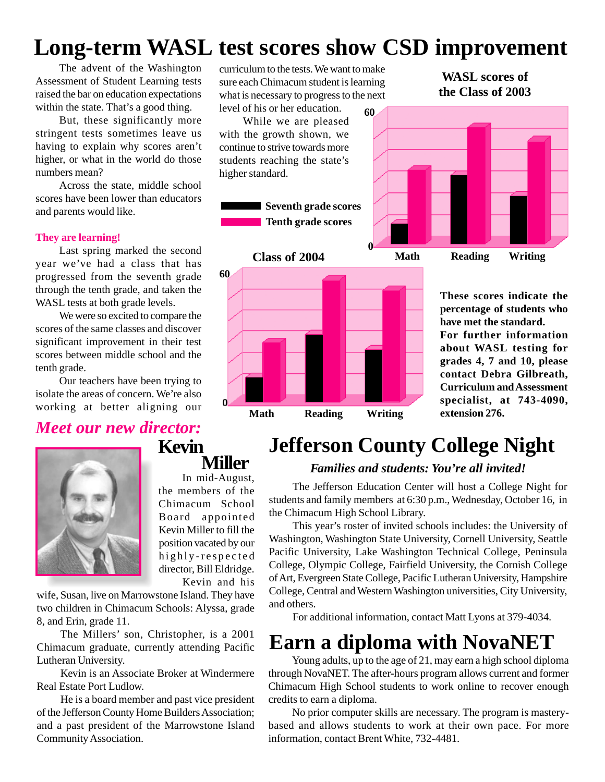### **Long-term WASL test scores show CSD improvement**

The advent of the Washington Assessment of Student Learning tests raised the bar on education expectations within the state. That's a good thing.

But, these significantly more stringent tests sometimes leave us having to explain why scores aren't higher, or what in the world do those numbers mean?

Across the state, middle school scores have been lower than educators and parents would like.

#### **They are learning!**

Last spring marked the second year we've had a class that has progressed from the seventh grade through the tenth grade, and taken the WASL tests at both grade levels.

We were so excited to compare the scores of the same classes and discover significant improvement in their test scores between middle school and the tenth grade.

Our teachers have been trying to isolate the areas of concern. We're also working at better aligning our

#### *Meet our new director:*



curriculum to the tests. We want to make sure each Chimacum student is learning what is necessary to progress to the next level of his or her education.

While we are pleased with the growth shown, we continue to strive towards more students reaching the state's higher standard.

> **Seventh grade scores Tenth grade scores**





**WASL scores of the Class of 2003**



**These scores indicate the percentage of students who have met the standard. For further information about WASL testing for grades 4, 7 and 10, please contact Debra Gilbreath, Curriculum and Assessment specialist, at 743-4090, extension 276.**

### **Jefferson County College Night**

#### *Families and students: You're all invited!*

The Jefferson Education Center will host a College Night for students and family members at 6:30 p.m., Wednesday, October 16, in the Chimacum High School Library.

This year's roster of invited schools includes: the University of Washington, Washington State University, Cornell University, Seattle Pacific University, Lake Washington Technical College, Peninsula College, Olympic College, Fairfield University, the Cornish College of Art, Evergreen State College, Pacific Lutheran University, Hampshire College, Central and Western Washington universities, City University, and others.

For additional information, contact Matt Lyons at 379-4034.

### **Earn a diploma with NovaNET**

Young adults, up to the age of 21, may earn a high school diploma through NovaNET. The after-hours program allows current and former Chimacum High School students to work online to recover enough credits to earn a diploma.

No prior computer skills are necessary. The program is masterybased and allows students to work at their own pace. For more information, contact Brent White, 732-4481.

In mid-August, the members of the Chimacum School Board appointed Kevin Miller to fill the position vacated by our highly-respected director, Bill Eldridge.

**Miller**

**Kevin**

Kevin and his

wife, Susan, live on Marrowstone Island. They have two children in Chimacum Schools: Alyssa, grade 8, and Erin, grade 11.

The Millers' son, Christopher, is a 2001 Chimacum graduate, currently attending Pacific Lutheran University.

Kevin is an Associate Broker at Windermere Real Estate Port Ludlow.

He is a board member and past vice president of the Jefferson County Home Builders Association; and a past president of the Marrowstone Island Community Association.